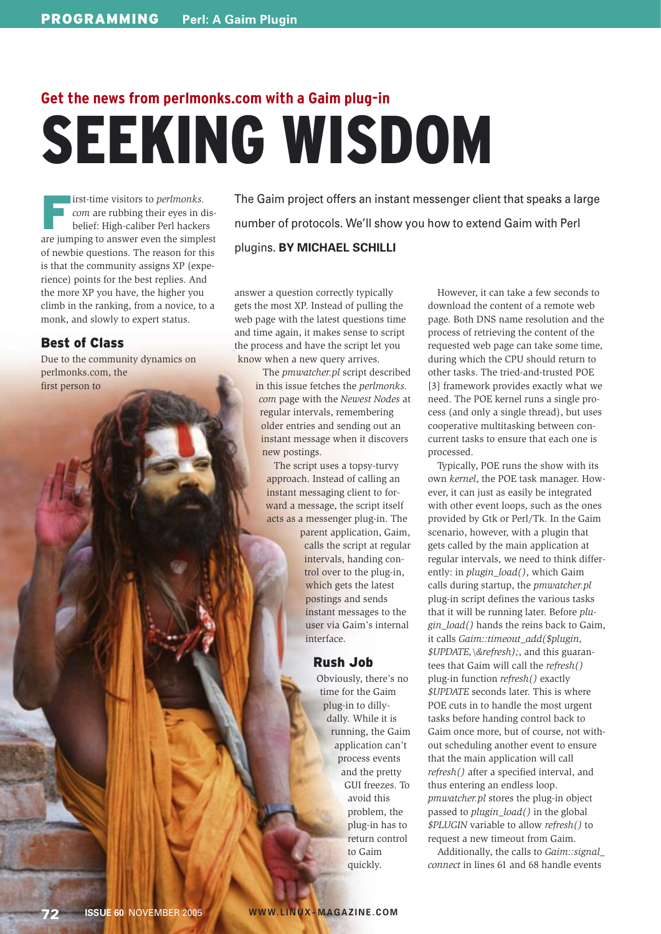# **Get the news from perlmonks.com with a Gaim plug-in** SEEKING WISDOM

**First-time visitors to** *perlmonks*.<br> **Com** are rubbing their eyes in d<br>
belief: High-caliber Perl hacker. *com* are rubbing their eyes in disbelief: High-caliber Perl hackers are jumping to answer even the simplest of newbie questions. The reason for this is that the community assigns XP (experience) points for the best replies. And the more XP you have, the higher you climb in the ranking, from a novice, to a monk, and slowly to expert status.

## Best of Class

Due to the community dynamics on perlmonks.com, the first person to

The Gaim project offers an instant messenger client that speaks a large number of protocols. We'll show you how to extend Gaim with Perl plugins. **BY MICHAEL SCHILLI**

answer a question correctly typically gets the most XP. Instead of pulling the web page with the latest questions time and time again, it makes sense to script the process and have the script let you know when a new query arrives.

> The *pmwatcher.pl* script described in this issue fetches the *perlmonks. com* page with the *Newest Nodes* at regular intervals, remembering older entries and sending out an instant message when it discovers new postings.

The script uses a topsy-turvy approach. Instead of calling an instant messaging client to forward a message, the script itself acts as a messenger plug-in. The

> parent application, Gaim, calls the script at regular intervals, handing control over to the plug-in, which gets the latest postings and sends instant messages to the user via Gaim's internal interface.

### Rush Job

Obviously, there's no time for the Gaim plug-in to dillydally. While it is running, the Gaim application can't process events and the pretty GUI freezes. To avoid this problem, the plug-in has to return control to Gaim quickly.

However, it can take a few seconds to download the content of a remote web page. Both DNS name resolution and the process of retrieving the content of the requested web page can take some time, during which the CPU should return to other tasks. The tried-and-trusted POE [3] framework provides exactly what we need. The POE kernel runs a single process (and only a single thread), but uses cooperative multitasking between concurrent tasks to ensure that each one is processed.

Typically, POE runs the show with its own *kernel*, the POE task manager. However, it can just as easily be integrated with other event loops, such as the ones provided by Gtk or Perl/Tk. In the Gaim scenario, however, with a plugin that gets called by the main application at regular intervals, we need to think differently: in *plugin\_load()*, which Gaim calls during startup, the *pmwatcher.pl* plug-in script defines the various tasks that it will be running later. Before *plugin\_load()* hands the reins back to Gaim, it calls *Gaim::timeout\_add(\$plugin, \$UPDATE,\&refresh);*, and this guarantees that Gaim will call the *refresh()* plug-in function *refresh()* exactly *\$UPDATE* seconds later. This is where POE cuts in to handle the most urgent tasks before handing control back to Gaim once more, but of course, not without scheduling another event to ensure that the main application will call *refresh()* after a specified interval, and thus entering an endless loop. *pmwatcher.pl* stores the plug-in object passed to *plugin\_load()* in the global *\$PLUGIN* variable to allow *refresh()* to request a new timeout from Gaim.

Additionally, the calls to *Gaim::signal\_ connect* in lines 61 and 68 handle events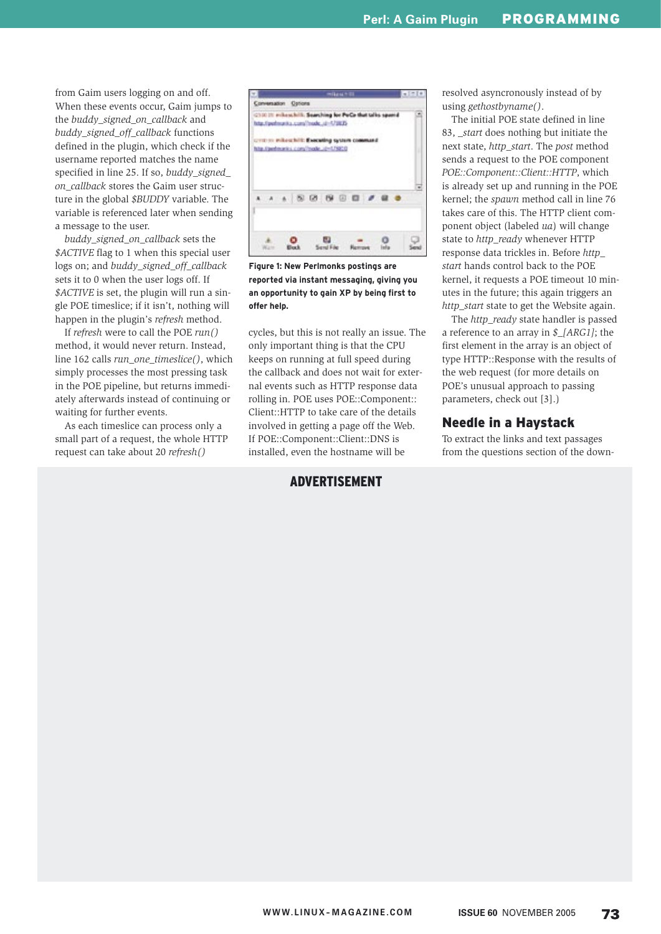from Gaim users logging on and off. When these events occur, Gaim jumps to the *buddy\_signed\_on\_callback* and *buddy\_signed\_off\_callback* functions defined in the plugin, which check if the username reported matches the name specified in line 25. If so, *buddy\_signed\_ on\_callback* stores the Gaim user structure in the global *\$BUDDY* variable. The variable is referenced later when sending a message to the user.

*buddy\_signed\_on\_callback* sets the *\$ACTIVE* flag to 1 when this special user logs on; and *buddy\_signed\_off\_callback* sets it to 0 when the user logs off. If *\$ACTIVE* is set, the plugin will run a single POE timeslice; if it isn't, nothing will happen in the plugin's *refresh* method.

If *refresh* were to call the POE *run()* method, it would never return. Instead, line 162 calls *run\_one\_timeslice()*, which simply processes the most pressing task in the POE pipeline, but returns immediately afterwards instead of continuing or waiting for further events.

As each timeslice can process only a small part of a request, the whole HTTP request can take about 20 *refresh()*

| Conversation Options | (210) 21 million hill. Searching for PuCa that talks spand                           |  |  |
|----------------------|--------------------------------------------------------------------------------------|--|--|
|                      | http://perfmonto.com/?nede.ul-1/1835                                                 |  |  |
|                      | CITE IN Pillow hill: Executing system command<br>http://pertmarks.com/mode_it=179232 |  |  |
|                      |                                                                                      |  |  |
|                      |                                                                                      |  |  |
|                      |                                                                                      |  |  |
|                      |                                                                                      |  |  |
|                      | .                                                                                    |  |  |
|                      |                                                                                      |  |  |
|                      |                                                                                      |  |  |

**Figure 1: New Perlmonks postings are reported via instant messaging, giving you an opportunity to gain XP by being first to offer help.**

cycles, but this is not really an issue. The only important thing is that the CPU keeps on running at full speed during the callback and does not wait for external events such as HTTP response data rolling in. POE uses POE::Component:: Client::HTTP to take care of the details involved in getting a page off the Web. If POE::Component::Client::DNS is installed, even the hostname will be

## ADVERTISEMENT

resolved asyncronously instead of by using *gethostbyname()*.

The initial POE state defined in line 83, *start* does nothing but initiate the next state, *http\_start*. The *post* method sends a request to the POE component *POE::Component::Client::HTTP*, which is already set up and running in the POE kernel; the *spawn* method call in line 76 takes care of this. The HTTP client component object (labeled *ua*) will change state to *http\_ready* whenever HTTP response data trickles in. Before *http\_ start* hands control back to the POE kernel, it requests a POE timeout 10 minutes in the future; this again triggers an *http\_start* state to get the Website again.

The *http\_ready* state handler is passed a reference to an array in *\$\_[ARG1]*; the first element in the array is an object of type HTTP::Response with the results of the web request (for more details on POE's unusual approach to passing parameters, check out [3].)

#### Needle in a Haystack

To extract the links and text passages from the questions section of the down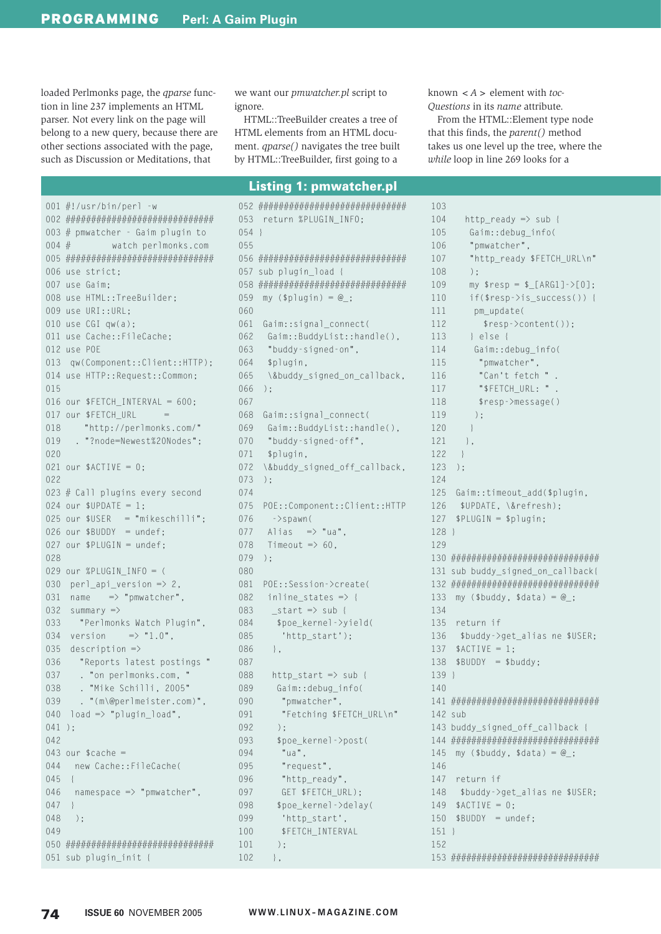loaded Perlmonks page, the *qparse* function in line 237 implements an HTML parser. Not every link on the page will belong to a new query, because there are other sections associated with the page, such as Discussion or Meditations, that

we want our *pmwatcher.pl* script to ignore.

HTML::TreeBuilder creates a tree of HTML elements from an HTML document. *aparse*() navigates the tree built by HTML::TreeBuilder, first going to a

known  $\lt A$  > element with toc-Ouestions in its name attribute.

From the HTML::Element type node that this finds, the parent() method takes us one level up the tree, where the while loop in line 269 looks for a

#### **Listing 1: pmwatcher.pl**

001  $\#!/$ usr/bin/perl -w 003 # pmwatcher - Gaim plugin to  $004 \#$ watch perlmonks.com 006 use strict; 007 use Gaim: 008 use HTML::TreeBuilder; 009 use URI::URL; 010 use  $CGI$  qw(a); 011 use Cache::FileCache:  $012$  use POF 013 qw(Component::Client::HTTP); 014 use HTTP::Request::Common;  $015$ 016 our \$FETCH\_INTERVAL = 600; 017 our \$FFTCH URL  $018$ "http://perlmonks.com/" 019 . "?node=Newest%20Nodes"; 020 021 our  $$ACTIVE = 0:$  $022$ 023 # Call plugins every second 024 our  $$UPDATE = 1;$ 025 our  $SUSER = "mikeschild"$ : 026 our \$BUDDY = undef;  $027$  our \$PLUGIN = undef; 028 029 our %PLUGIN\_INFO = ( 030 perl\_api\_version  $\Rightarrow$  2, 031 name  $\Rightarrow$  "pmwatcher", 032 summary  $\Rightarrow$  $033$ "Perlmonks Watch Plugin", 034 version =>  $"1.0"$ , 035 description  $\Rightarrow$ 036 "Reports latest postings " . "on perlmonks.com, " 037 . "Mike Schilli, 2005" 038  $\cdot$  "(m\@perlmeister.com)",  $039$ 040  $\log 2$   $\Rightarrow$  "plugin\_load",  $041$  ):  $042$ 043 our  $%$ cache =  $044$ new Cache::FileCache(  $045$  {  $046$  $namespace$  => "pmwatcher",  $047$  } 048  $)$  ;  $049$ 051 sub plugin\_init {

053 return %PLUGIN\_INFO;  $054$  }  $055$ 057 sub plugin\_load { 059 my (\$plugin) =  $@_{-};$  $060$ 061 Gaim::signal\_connect(  $062$ Gaim::BuddyList::handle(),  $063$ "buddy-signed-on".  $064$ \$plugin, 065 \&buddy\_signed\_on\_callback,  $066$  ):  $067$ 068 Gaim::signal\_connect(  $069$ Gaim::BuddyList::handle(), "buddy-signed-off", 070 071 \$plugin,  $072$ \&buddy\_signed\_off\_callback, 073  $)$ :  $074$ 075 POE:: Component:: Client:: HTTP  $076$  $\rightarrow$ spawn( Alias  $\Rightarrow$  "ua". 077 078 Timeout  $\Rightarrow$  60. 079  $\cdot$ 080 081 POE::Session->create( 082 inline states  $\Rightarrow$  { 083  $_{\text{start}} \Rightarrow$  sub { 084 \$poe kernel->yield( 085 'http\_start');  $086$  $\cdot$ . 087  $http_start$  => sub { 088 089 Gaim::debug info( 090 "pmwatcher".  $091$ "Fetching \$FETCH\_URL\n"  $092$  $)$  ; 093 \$poe kernel->post( 094 "ua", 095 "request". 096 "http\_ready",  $097$ GET \$FETCH\_URL); 098 \$poe\_kernel->delay( 099 'http\_start',  $100$ \$FETCH\_INTERVAL 101  $\cdot$  $102$  $\}$  ,

 $103$  $104$  $http_ready \Rightarrow sub {$ 105 Gaim::debug\_info( 106 "pmwatcher",  $107$ "http ready \$FETCH URL\n" 108  $)$ ;  $109$ my  $$resp = $[(ARG1]->[0];$  $110$  $if($resp->is_success())$  {  $111$ pm\_update( 112  $$resp$  ->content()); 113  $\left[ \begin{array}{cc} 1 & \rho \end{array} \right]$  se { 114 Gaim::debug info( 115 "pmwatcher". 116 "Can't fetch " . 117 "\$FETCH URL: " . 118 \$resp->message() 119  $\cdot$ ):  $120$  $\rightarrow$ 121  $\}$ , 122  $\left\{ \right\}$ 123  $\rightarrow$ 124 125 Gaim::timeout\_add(\$plugin, 126 \$UPDATE, \&refresh);  $127$  \$PLUGIN = \$plugin;  $128$ 129 131 sub buddy\_signed\_on\_callback{ 133 my (\$buddy, \$data) =  $@_{-};$ 134 135 return if 136 \$buddy->get\_alias ne \$USER; 137  $$ACTIVE = 1:$  $138$  \$BUDDY = \$buddy;  $139$  }  $140$  $142$  sub 143 buddy\_signed\_off\_callback { 145 my (\$buddy, \$data) =  $@$ ;  $146$ 147 return if 148 \$buddy->get\_alias ne \$USER;  $149$  \$ACTIVE = 0;  $150$  \$BUDDY = undef;  $151$ }  $152$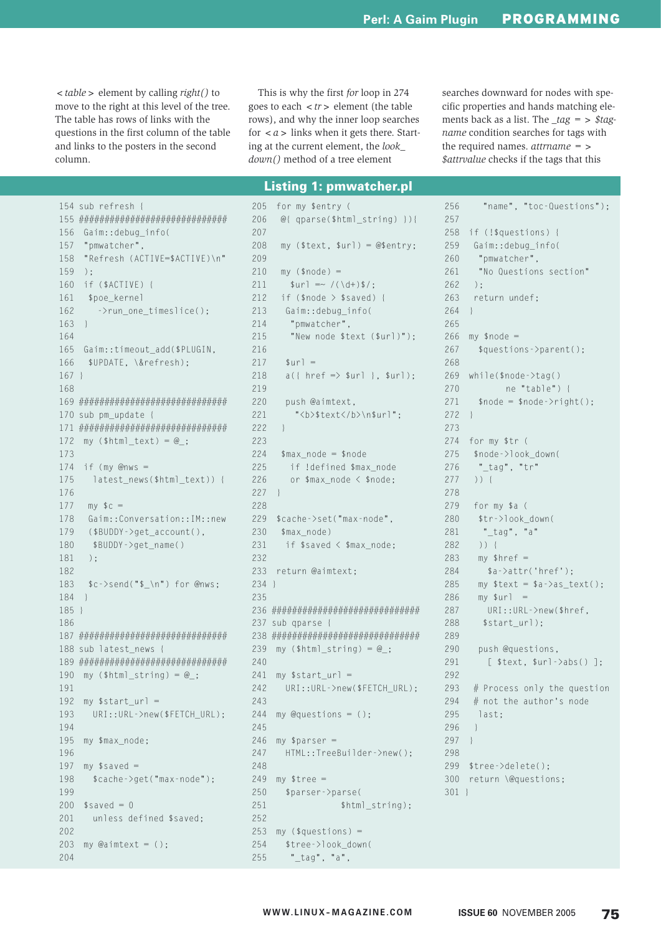$\langle$  table  $\rangle$  element by calling *right()* to move to the right at this level of the tree. The table has rows of links with the questions in the first column of the table and links to the posters in the second column.

This is why the first for loop in 274 goes to each  $\langle tr \rangle$  element (the table rows), and why the inner loop searches for  $\langle a \rangle$  links when it gets there. Starting at the current element, the look  $down()$  method of a tree element

searches downward for nodes with specific properties and hands matching elements back as a list. The  $\text{\textendash} tag = \text{\textendash} stag$ name condition searches for tags with the required names.  $attrname =$ \$attrvalue checks if the tags that this

#### **Listing 1: pmwatcher.pl**

 $205$ 

154 sub refresh { 156 Gaim::debug\_info( 157 "pmwatcher", 158 "Refresh (ACTIVE=\$ACTIVE)\n"  $159$  ); 160 if (\$ACTIVE) { 161 \$poe\_kernel 162  $\rightarrow$ run\_one\_timeslice();  $163 \quad \}$ 164 165 Gaim::timeout add(\$PLUGIN. 166 \$UPDATE, \&refresh);  $167$  } 168 170 sub pm\_update { 172 my  $(\text{thtml\_text}) = \textcircled{a}_{\text{}}$ ; 173 174 if (my @nws = 175 latest\_news(\$html\_text)) { 176 177  $mv$  \$  $c$  = 178 Gaim::Conversation::IM::new 179  $($BUDDY->get_account(),$  $180$ \$BUDDY->get name() 181  $\cdot$  ) : 182 183  $$c$  ->send(" $$_{\rm n}$ ") for @nws; 184  $\vert$ 185 } 186 188 sub latest\_news { 190 my  $(\text{shtml\_string}) = \textcircled{2};$ 191 192 my  $$start$  url = 193 URI::URL->new(\$FETCH\_URL);  $191$ 195 my \$max\_node; 196 197 my  $$saved =$ 198 \$cache->get("max-node"); 199 200  $$saved = 0$ unless defined \$saved; 201 202 203 my @aimtext =  $()$  : 204

for my \$entry ( 206  $@{$ { qparse(\$html\_string) }){ 207 208 my  $($text, $wr]) = @$entry;$  $209$ 210  $my$  (\$node) = 211  $\text{Surl} = \sqrt{(\det 1) + \det 2}$ 212 if  $(\text{space } > \text{~saved})$  { 213 Gaim::debug\_info(  $214$ "pmwatcher", 215 "New node \$text (\$url)"); 216 217  $\sin^{-1}$ 218  $a({$  href =>  $\text{surl }$  },  $\text{surl }$  }  $219$  $220$ push @aimtext, 221 "<b>\$text</b>\n\$url"; 222  $\mathcal{E}$  $223$ 224  $\frac{max_{\text{node}}}{m}$  = \$node 225 if !defined \$max\_node 226 or  $\text{$}$  max node  $\text{$}$   $\text{$}$  snode:  $227$  } 228 229 \$cache->set("max-node", 230 \$max node) 231 if \$saved < \$max node: 232 233 return @aimtext;  $234$  } 235 237 sub gparse { 239 my  $(\text{shtml\_string}) = \textcircled{2};$  $740$ 241 my  $$start\_url =$ 242 URI:: URL->new(\$FETCH\_URL): 243 244 my @questions =  $( )$ ;  $245$ 246 my  $$parser =$ 247 HTML::TreeBuilder->new(); 248 249 my  $$tree =$ 250 \$parser->parse( 251 \$html\_string); 252 253 my (\$questions) = 254 \$tree->look\_down( "\_tag", "a", 255

"name", "toc-Questions"):  $256$ 257 258 if (!\$questions) { Gaim::debug\_info( 259 260 "pmwatcher". "No Questions section" 261  $262$  $\rightarrow$ : 263 return undef; 264  $\rightarrow$ 265  $266$  my \$node = 267  $$a$ uestions- $>$ parent():  $268$  $269$  while(\$node->tag() 270 ne "table") { 271  $\text{pnode} = \text{pnode} - \text{p}_i$  $272$  } 273 274 for my \$tr ( \$node->look\_down( 275 276 "\_tag", "tr" 277  $))$  { 278 279 for my  $a$  ( 280 \$tr->look down( "\_tag", "a" 281 282  $)$ ) { 283  $my$  \$href = 284  $$a$ - $>}attr('href');$ 285 my  $$text = $a$-}as_text$  ; 286  $mv$   $sur$ ]  $:$ 287 URI::URL->new(\$href, 288 \$start url): 289 290 push @questions, 291  $[$  \$text, \$url->abs()]; 292 293 # Process only the question 294 # not the author's node 295 last: 296  $\left\{ \right\}$ 297  $\left\{ \right\}$ 298 299 \$tree->delete(); 300 return \@questions:  $301$  }